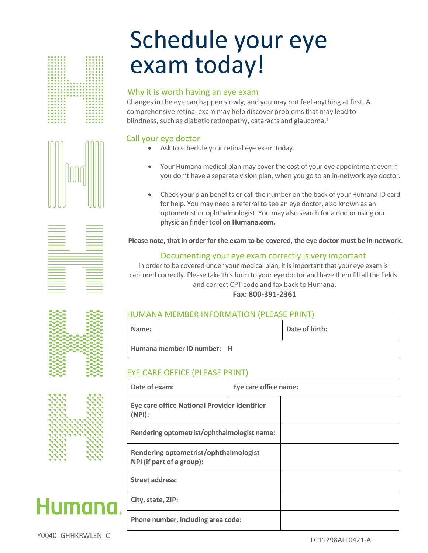# Schedule your eye exam today!

### Why it is worth having an eye exam

Changes in the eye can happen slowly, and you may not feel anything at first. A comprehensive retinal exam may help discover problems that may lead to blindness, such as diabetic retinopathy, cataracts and glaucoma.<sup>1</sup>

# Call your eye doctor

- Ask to schedule your retinal eye exam today.
- Your Humana medical plan may cover the cost of your eye appointment even if you don't have a separate vision plan, when you go to an in-network eye doctor.
- Check your plan benefits or call the number on the back of your Humana ID card for help. You may need a referral to see an eye doctor, also known as an optometrist or ophthalmologist. You may also search for a doctor using our physician finder tool on **Humana.com.**

**Please note, that in order for the exam to be covered, the eye doctor must be in-network.** 

# Documenting your eye exam correctly is very important

In order to be covered under your medical plan, it is important that your eye exam is captured correctly. Please take this form to your eye doctor and have them fill all the fields and correct CPT code and fax back to Humana.

# **Fax: 800-391-2361**

| HUMANA MEMBER INFORMATION (PLEASE PRINT) |  |
|------------------------------------------|--|
|------------------------------------------|--|

| Name:                      |  | Date of birth: |
|----------------------------|--|----------------|
| Humana member ID number: H |  |                |

# EYE CARE OFFICE (PLEASE PRINT)

| Date of exam:                                                      | Eye care office name: |  |  |
|--------------------------------------------------------------------|-----------------------|--|--|
| Eye care office National Provider Identifier<br>(NPI):             |                       |  |  |
| Rendering optometrist/ophthalmologist name:                        |                       |  |  |
| Rendering optometrist/ophthalmologist<br>NPI (if part of a group): |                       |  |  |
| <b>Street address:</b>                                             |                       |  |  |
| City, state, ZIP:                                                  |                       |  |  |
| Phone number, including area code:                                 |                       |  |  |





| ________                                                                                                                                                                                                                      | _______  |
|-------------------------------------------------------------------------------------------------------------------------------------------------------------------------------------------------------------------------------|----------|
|                                                                                                                                                                                                                               |          |
| _______                                                                                                                                                                                                                       |          |
| ________                                                                                                                                                                                                                      | ۰        |
|                                                                                                                                                                                                                               |          |
|                                                                                                                                                                                                                               | ________ |
|                                                                                                                                                                                                                               | _______  |
|                                                                                                                                                                                                                               |          |
|                                                                                                                                                                                                                               |          |
| ________                                                                                                                                                                                                                      | ________ |
|                                                                                                                                                                                                                               |          |
| _________                                                                                                                                                                                                                     | ________ |
| ________                                                                                                                                                                                                                      | ______   |
|                                                                                                                                                                                                                               |          |
|                                                                                                                                                                                                                               | ________ |
| the control of the control of the control of the control of the control of the control of the control of the control of the control of the control of the control of the control of the control of the control of the control |          |
|                                                                                                                                                                                                                               |          |
|                                                                                                                                                                                                                               |          |
|                                                                                                                                                                                                                               | __       |
|                                                                                                                                                                                                                               |          |
|                                                                                                                                                                                                                               |          |
| the control of the control of the control of the control of the control of the control of the control of the control of the control of the control of the control of the control of the control of the control of the control |          |
|                                                                                                                                                                                                                               |          |
| the control of the control of the control of the control of the control of the control of the control of the control of the control of the control of the control of the control of the control of the control of the control |          |
| ________                                                                                                                                                                                                                      | ________ |
|                                                                                                                                                                                                                               |          |
|                                                                                                                                                                                                                               | ________ |
|                                                                                                                                                                                                                               |          |
|                                                                                                                                                                                                                               |          |
| ________                                                                                                                                                                                                                      | _______  |
| <u> 1989 - John Stone, Amerikaansk politiker (</u>                                                                                                                                                                            |          |
|                                                                                                                                                                                                                               | ۰        |
| _____                                                                                                                                                                                                                         |          |
|                                                                                                                                                                                                                               | ________ |
|                                                                                                                                                                                                                               |          |
|                                                                                                                                                                                                                               |          |
| ______                                                                                                                                                                                                                        | ________ |
|                                                                                                                                                                                                                               |          |
|                                                                                                                                                                                                                               |          |

|     |             | š            |
|-----|-------------|--------------|
|     |             |              |
|     |             |              |
|     |             |              |
|     |             | ÷            |
|     |             | ۰            |
| ∽   |             | ÷            |
| ∼   | ÷           | ٠<br>-       |
| ∼∽  | ∽∽<br>÷     | ÷<br>-       |
| ∼   | ∽<br>s<br>÷ | U<br>--      |
|     | ∼           | ÷            |
|     |             |              |
| ∼   |             | 5            |
|     |             | ÷            |
| -   |             | ÷<br>ـ<br>-- |
|     |             | ÷<br>÷<br>-- |
|     |             | ٥<br>◡       |
| - - |             |              |



# Humana.

Y0040\_GHHKRWLEN\_C LC11298ALL0421-A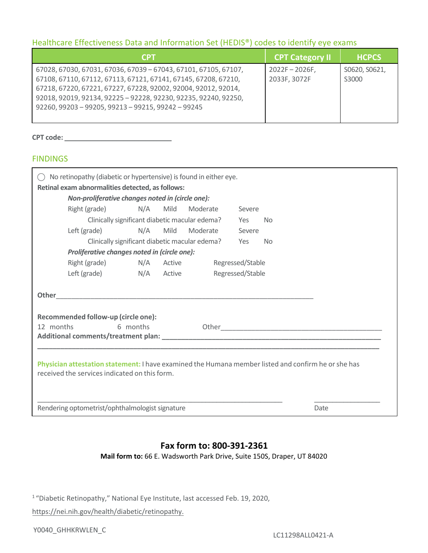# Healthcare Effectiveness Data and Information Set (HEDIS®) codes to identify eye exams

| <b>CPT</b>                                                                                                                                                                                                                                                                                                                   | <b>CPT Category II</b>          | <b>HCPCS</b>           |
|------------------------------------------------------------------------------------------------------------------------------------------------------------------------------------------------------------------------------------------------------------------------------------------------------------------------------|---------------------------------|------------------------|
| 67028, 67030, 67031, 67036, 67039 - 67043, 67101, 67105, 67107,<br>67108, 67110, 67112, 67113, 67121, 67141, 67145, 67208, 67210,<br>67218, 67220, 67221, 67227, 67228, 92002, 92004, 92012, 92014,<br>92018, 92019, 92134, 92225 - 92228, 92230, 92235, 92240, 92250,<br>92260, 99203 - 99205, 99213 - 99215, 99242 - 99245 | $2022F - 2026F$<br>2033F, 3072F | S0620, S0621,<br>S3000 |

#### **CPT code: \_\_\_\_\_\_\_\_\_\_\_\_\_\_\_\_\_\_\_\_\_\_\_\_\_\_\_\_\_**

#### **FINDINGS**

| No retinopathy (diabetic or hypertensive) is found in either eye. |                                              |                                                |        |          |                  |           |                                                                                                     |
|-------------------------------------------------------------------|----------------------------------------------|------------------------------------------------|--------|----------|------------------|-----------|-----------------------------------------------------------------------------------------------------|
| Retinal exam abnormalities detected, as follows:                  |                                              |                                                |        |          |                  |           |                                                                                                     |
| Non-proliferative changes noted in (circle one):                  |                                              |                                                |        |          |                  |           |                                                                                                     |
|                                                                   | Right (grade)                                | N/A                                            | Mild   | Moderate | Severe           |           |                                                                                                     |
|                                                                   |                                              | Clinically significant diabetic macular edema? |        |          | Yes              | <b>No</b> |                                                                                                     |
|                                                                   | Left (grade)                                 | N/A                                            | Mild   | Moderate | Severe           |           |                                                                                                     |
|                                                                   |                                              | Clinically significant diabetic macular edema? |        |          | Yes              | <b>No</b> |                                                                                                     |
|                                                                   | Proliferative changes noted in (circle one): |                                                |        |          |                  |           |                                                                                                     |
|                                                                   | Right (grade) N/A                            |                                                | Active |          | Regressed/Stable |           |                                                                                                     |
|                                                                   | Left (grade)                                 | N/A Active                                     |        |          | Regressed/Stable |           |                                                                                                     |
|                                                                   |                                              |                                                |        |          |                  |           |                                                                                                     |
| <b>Other</b>                                                      |                                              |                                                |        |          |                  |           |                                                                                                     |
|                                                                   |                                              |                                                |        |          |                  |           |                                                                                                     |
|                                                                   | Recommended follow-up (circle one):          |                                                |        |          |                  |           |                                                                                                     |
| 12 months                                                         |                                              | 6 months                                       |        |          |                  |           |                                                                                                     |
|                                                                   |                                              |                                                |        |          |                  |           |                                                                                                     |
|                                                                   |                                              |                                                |        |          |                  |           |                                                                                                     |
|                                                                   |                                              |                                                |        |          |                  |           | Physician attestation statement: I have examined the Humana member listed and confirm he or she has |
| received the services indicated on this form.                     |                                              |                                                |        |          |                  |           |                                                                                                     |
|                                                                   |                                              |                                                |        |          |                  |           |                                                                                                     |
|                                                                   |                                              |                                                |        |          |                  |           |                                                                                                     |
| Rendering optometrist/ophthalmologist signature<br>Date           |                                              |                                                |        |          |                  |           |                                                                                                     |

# **Fax form to: 800-391-2361**

**Mail form to:** 66 E. Wadsworth Park Drive, Suite 150S, Draper, UT 84020

<sup>1</sup>"Diabetic Retinopathy," National Eye Institute, last accessed Feb. 19, 2020,

https://nei.nih.gov/health/diabetic/retinopathy.

Y0040\_GHHKRWLEN\_C